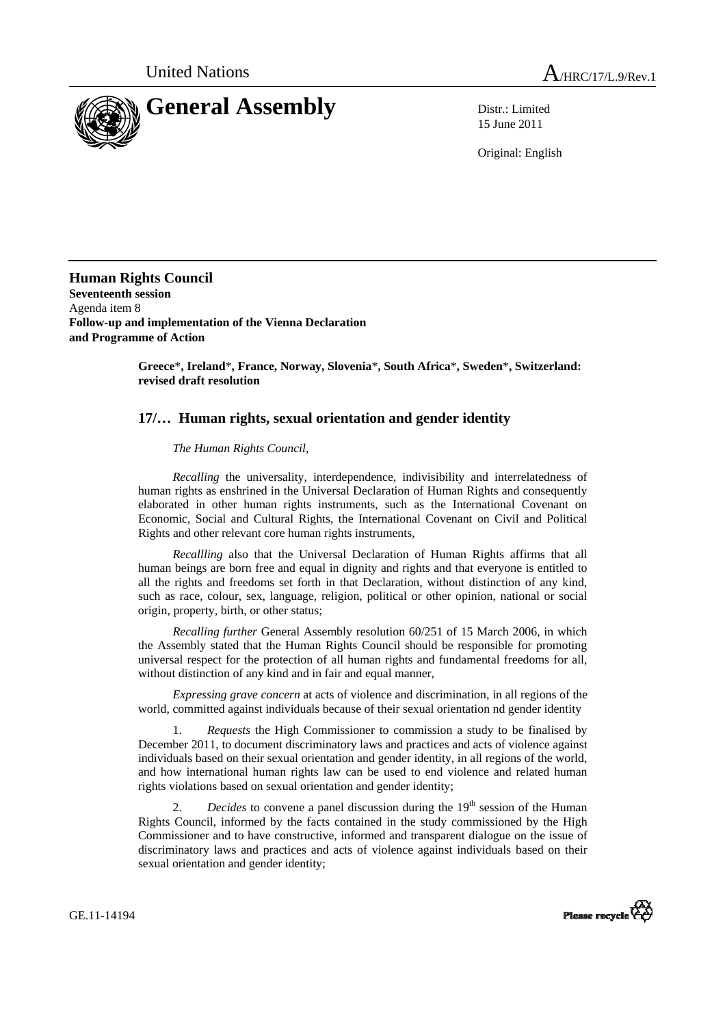



15 June 2011

Original: English

**Human Rights Council Seventeenth session**  Agenda item 8 **Follow-up and implementation of the Vienna Declaration and Programme of Action** 

> **Greece**\***, Ireland**\***, France, Norway, Slovenia**\***, South Africa**\***, Sweden**\***, Switzerland: revised draft resolution**

## **17/… Human rights, sexual orientation and gender identity**

## *The Human Rights Council*,

*Recalling* the universality, interdependence, indivisibility and interrelatedness of human rights as enshrined in the Universal Declaration of Human Rights and consequently elaborated in other human rights instruments, such as the International Covenant on Economic, Social and Cultural Rights, the International Covenant on Civil and Political Rights and other relevant core human rights instruments,

 *Recallling* also that the Universal Declaration of Human Rights affirms that all human beings are born free and equal in dignity and rights and that everyone is entitled to all the rights and freedoms set forth in that Declaration, without distinction of any kind, such as race, colour, sex, language, religion, political or other opinion, national or social origin, property, birth, or other status;

 *Recalling further* General Assembly resolution 60/251 of 15 March 2006, in which the Assembly stated that the Human Rights Council should be responsible for promoting universal respect for the protection of all human rights and fundamental freedoms for all, without distinction of any kind and in fair and equal manner,

 *Expressing grave concern* at acts of violence and discrimination, in all regions of the world, committed against individuals because of their sexual orientation nd gender identity

1. *Requests* the High Commissioner to commission a study to be finalised by December 2011, to document discriminatory laws and practices and acts of violence against individuals based on their sexual orientation and gender identity, in all regions of the world, and how international human rights law can be used to end violence and related human rights violations based on sexual orientation and gender identity;

*Decides* to convene a panel discussion during the 19<sup>th</sup> session of the Human Rights Council, informed by the facts contained in the study commissioned by the High Commissioner and to have constructive, informed and transparent dialogue on the issue of discriminatory laws and practices and acts of violence against individuals based on their sexual orientation and gender identity;

Please recycle

GE.11-14194